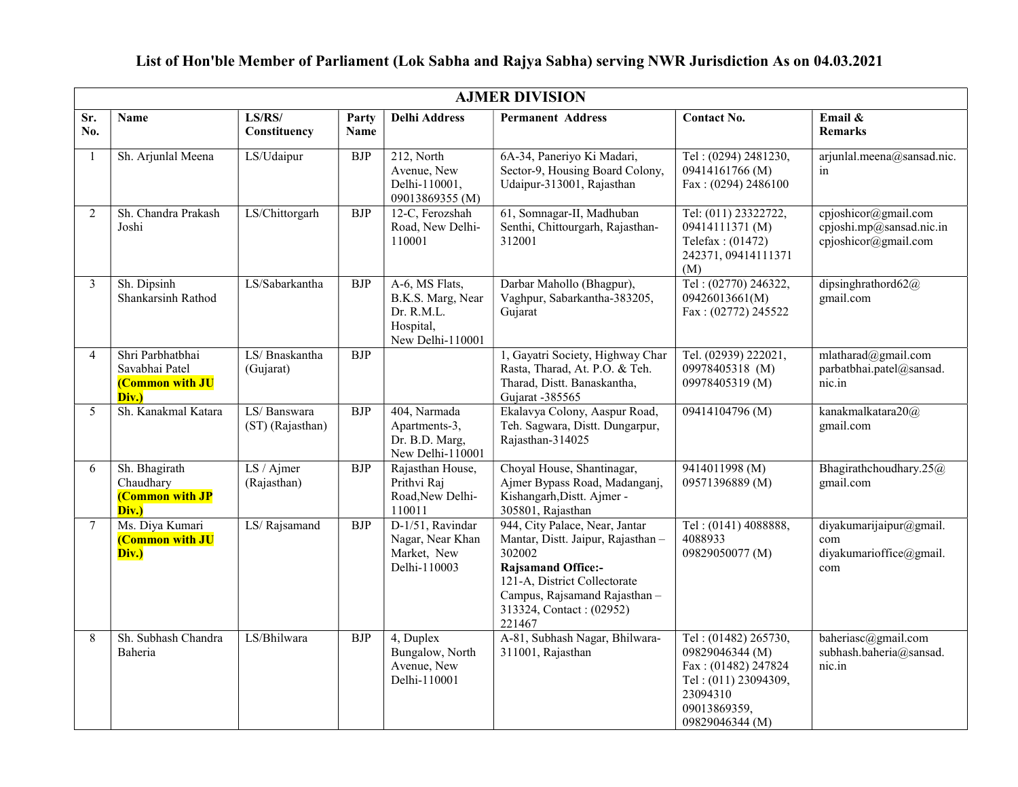|                | <b>AJMER DIVISION</b>                                                 |                                 |               |                                                                                    |                                                                                                                                                                                                                  |                                                                                                                                       |                                                                          |  |  |  |  |  |
|----------------|-----------------------------------------------------------------------|---------------------------------|---------------|------------------------------------------------------------------------------------|------------------------------------------------------------------------------------------------------------------------------------------------------------------------------------------------------------------|---------------------------------------------------------------------------------------------------------------------------------------|--------------------------------------------------------------------------|--|--|--|--|--|
| Sr.<br>No.     | <b>Name</b>                                                           | LS/RS/<br>Constituency          | Party<br>Name | <b>Delhi Address</b>                                                               | <b>Permanent Address</b>                                                                                                                                                                                         | <b>Contact No.</b>                                                                                                                    | Email &<br><b>Remarks</b>                                                |  |  |  |  |  |
| $\overline{1}$ | Sh. Arjunlal Meena                                                    | LS/Udaipur                      | <b>BJP</b>    | 212, North<br>Avenue, New<br>Delhi-110001,<br>09013869355 (M)                      | 6A-34, Paneriyo Ki Madari,<br>Sector-9, Housing Board Colony,<br>Udaipur-313001, Rajasthan                                                                                                                       | Tel: (0294) 2481230,<br>09414161766 (M)<br>Fax: (0294) 2486100                                                                        | arjunlal.meena@sansad.nic.<br>in                                         |  |  |  |  |  |
| 2              | Sh. Chandra Prakash<br>Joshi                                          | LS/Chittorgarh                  | <b>BJP</b>    | 12-C, Ferozshah<br>Road, New Delhi-<br>110001                                      | 61, Somnagar-II, Madhuban<br>Senthi, Chittourgarh, Rajasthan-<br>312001                                                                                                                                          | Tel: (011) 23322722,<br>09414111371 (M)<br>Telefax: (01472)<br>242371, 09414111371<br>(M)                                             | cpjoshicor@gmail.com<br>cpjoshi.mp@sansad.nic.in<br>cpjoshicor@gmail.com |  |  |  |  |  |
| 3              | Sh. Dipsinh<br>Shankarsinh Rathod                                     | LS/Sabarkantha                  | <b>BJP</b>    | A-6, MS Flats,<br>B.K.S. Marg, Near<br>Dr. R.M.L.<br>Hospital,<br>New Delhi-110001 | Darbar Mahollo (Bhagpur),<br>Vaghpur, Sabarkantha-383205,<br>Gujarat                                                                                                                                             | Tel: (02770) 246322,<br>09426013661(M)<br>Fax: (02772) 245522                                                                         | dipsinghrathord62@<br>gmail.com                                          |  |  |  |  |  |
| $\overline{4}$ | Shri Parbhatbhai<br>Savabhai Patel<br><b>(Common with JU</b><br>Div.) | LS/ Bnaskantha<br>(Gujarat)     | <b>BJP</b>    |                                                                                    | 1, Gayatri Society, Highway Char<br>Rasta, Tharad, At. P.O. & Teh.<br>Tharad, Distt. Banaskantha,<br>Gujarat -385565                                                                                             | Tel. (02939) 222021,<br>09978405318 (M)<br>09978405319 (M)                                                                            | mlatharad@gmail.com<br>parbatbhai.patel@sansad.<br>nic.in                |  |  |  |  |  |
| 5              | Sh. Kanakmal Katara                                                   | LS/Banswara<br>(ST) (Rajasthan) | <b>BJP</b>    | 404, Narmada<br>Apartments-3,<br>Dr. B.D. Marg,<br>New Delhi-110001                | Ekalavya Colony, Aaspur Road,<br>Teh. Sagwara, Distt. Dungarpur,<br>Rajasthan-314025                                                                                                                             | 09414104796 (M)                                                                                                                       | kanakmalkatara20@<br>gmail.com                                           |  |  |  |  |  |
| 6              | Sh. Bhagirath<br>Chaudhary<br><b>(Common with JP</b><br>Div.)         | LS / Ajmer<br>(Rajasthan)       | <b>BJP</b>    | Rajasthan House,<br>Prithvi Raj<br>Road, New Delhi-<br>110011                      | Choyal House, Shantinagar,<br>Ajmer Bypass Road, Madanganj,<br>Kishangarh, Distt. Ajmer -<br>305801, Rajasthan                                                                                                   | 9414011998 (M)<br>09571396889 (M)                                                                                                     | Bhagirathchoudhary.25@<br>gmail.com                                      |  |  |  |  |  |
| 7              | Ms. Diya Kumari<br>(Common with JU<br>Div.)                           | LS/Rajsamand                    | <b>BJP</b>    | D-1/51, Ravindar<br>Nagar, Near Khan<br>Market, New<br>Delhi-110003                | 944, City Palace, Near, Jantar<br>Mantar, Distt. Jaipur, Rajasthan-<br>302002<br><b>Rajsamand Office:-</b><br>121-A, District Collectorate<br>Campus, Rajsamand Rajasthan-<br>313324, Contact: (02952)<br>221467 | Tel: (0141) 4088888,<br>4088933<br>09829050077 (M)                                                                                    | diyakumarijaipur@gmail.<br>com<br>diyakumarioffice@gmail.<br>com         |  |  |  |  |  |
| 8              | Sh. Subhash Chandra<br>Baheria                                        | LS/Bhilwara                     | <b>BJP</b>    | 4, Duplex<br>Bungalow, North<br>Avenue, New<br>Delhi-110001                        | A-81, Subhash Nagar, Bhilwara-<br>311001, Rajasthan                                                                                                                                                              | Tel: (01482) 265730,<br>09829046344 (M)<br>Fax: (01482) 247824<br>Tel: (011) 23094309,<br>23094310<br>09013869359,<br>09829046344 (M) | baheriasc@gmail.com<br>subhash.baheria@sansad.<br>nic.in                 |  |  |  |  |  |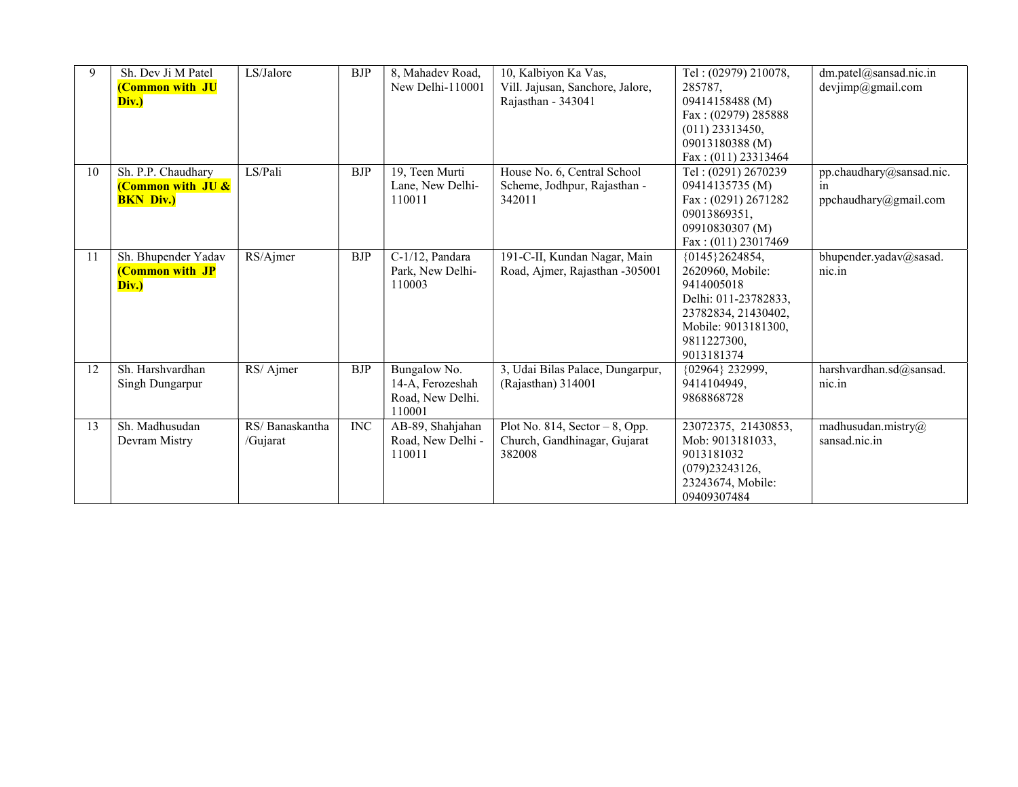| 9  | Sh. Dev Ji M Patel<br>(Common with JU<br>Div.)                         | LS/Jalore                  | <b>BJP</b> | 8, Mahadev Road,<br>New Delhi-110001                           | 10, Kalbiyon Ka Vas,<br>Vill. Jajusan, Sanchore, Jalore,<br>Rajasthan - 343041 | Tel: (02979) 210078,<br>285787,<br>09414158488 (M)<br>Fax: (02979) 285888<br>$(011)$ 23313450,<br>09013180388 (M)<br>Fax: (011) 23313464            | dm.patel@sansad.nic.in<br>devjimp@gmail.com             |
|----|------------------------------------------------------------------------|----------------------------|------------|----------------------------------------------------------------|--------------------------------------------------------------------------------|-----------------------------------------------------------------------------------------------------------------------------------------------------|---------------------------------------------------------|
| 10 | Sh. P.P. Chaudhary<br><b>(Common with JU &amp;</b><br><b>BKN Div.)</b> | LS/Pali                    | <b>BJP</b> | 19, Teen Murti<br>Lane, New Delhi-<br>110011                   | House No. 6, Central School<br>Scheme, Jodhpur, Rajasthan -<br>342011          | Tel: (0291) 2670239<br>09414135735 (M)<br>Fax: $(0291)$ 2671282<br>09013869351,<br>09910830307 (M)<br>Fax: (011) 23017469                           | pp.chaudhary@sansad.nic.<br>in<br>ppchaudhary@gmail.com |
| 11 | Sh. Bhupender Yadav<br><b>(Common with JP</b><br>Div.)                 | RS/Ajmer                   | <b>BJP</b> | C-1/12, Pandara<br>Park, New Delhi-<br>110003                  | 191-C-II, Kundan Nagar, Main<br>Road, Ajmer, Rajasthan -305001                 | {0145}2624854,<br>2620960, Mobile:<br>9414005018<br>Delhi: 011-23782833,<br>23782834, 21430402,<br>Mobile: 9013181300,<br>9811227300,<br>9013181374 | bhupender.yadav@sasad.<br>nic.in                        |
| 12 | Sh. Harshvardhan<br>Singh Dungarpur                                    | RS/Ajmer                   | <b>BJP</b> | Bungalow No.<br>14-A, Ferozeshah<br>Road, New Delhi.<br>110001 | 3, Udai Bilas Palace, Dungarpur,<br>(Rajasthan) 314001                         | {02964} 232999,<br>9414104949,<br>9868868728                                                                                                        | harshvardhan.sd@sansad.<br>nic.in                       |
| 13 | Sh. Madhusudan<br>Devram Mistry                                        | RS/Banaskantha<br>/Gujarat | <b>INC</b> | AB-89, Shahjahan<br>Road, New Delhi -<br>110011                | Plot No. 814, Sector $-8$ , Opp.<br>Church, Gandhinagar, Gujarat<br>382008     | 23072375, 21430853,<br>Mob: 9013181033,<br>9013181032<br>(079)23243126,<br>23243674, Mobile:<br>09409307484                                         | $m$ adhusudan.mistry@<br>sansad.nic.in                  |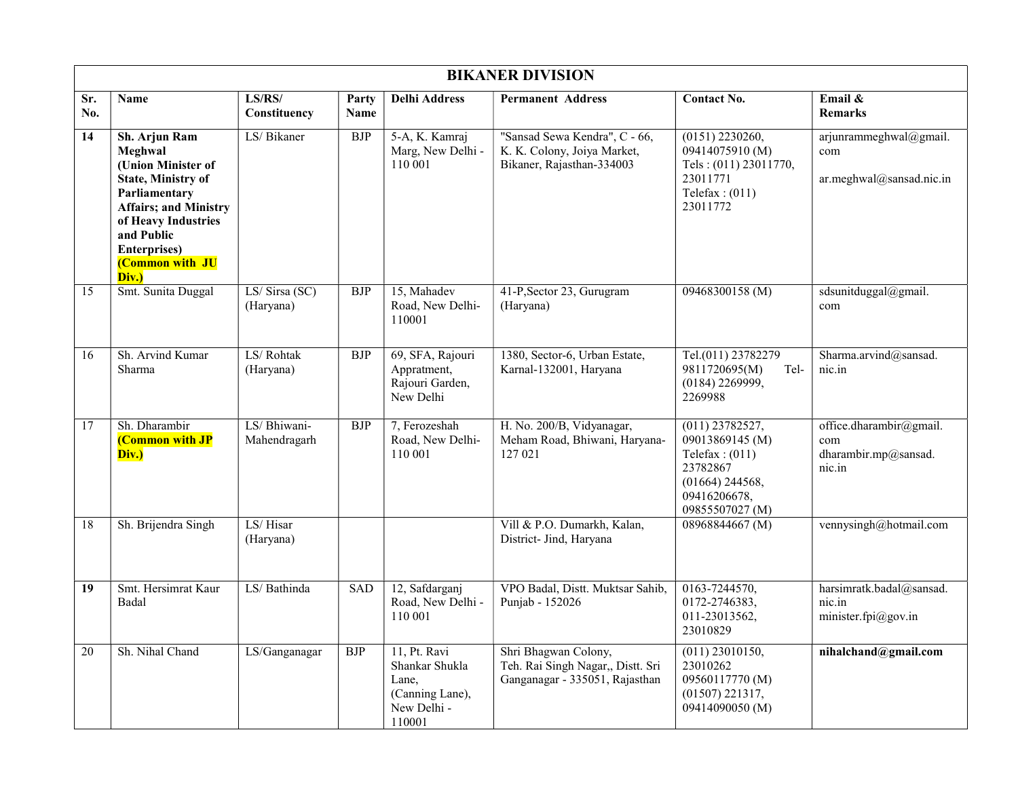|            | <b>BIKANER DIVISION</b>                                                                                                                                                                                               |                              |               |                                                                                     |                                                                                             |                                                                                                                              |                                                                  |  |  |  |  |
|------------|-----------------------------------------------------------------------------------------------------------------------------------------------------------------------------------------------------------------------|------------------------------|---------------|-------------------------------------------------------------------------------------|---------------------------------------------------------------------------------------------|------------------------------------------------------------------------------------------------------------------------------|------------------------------------------------------------------|--|--|--|--|
| Sr.<br>No. | <b>Name</b>                                                                                                                                                                                                           | LS/RS/<br>Constituency       | Party<br>Name | <b>Delhi Address</b>                                                                | <b>Permanent Address</b>                                                                    | <b>Contact No.</b>                                                                                                           | Email &<br><b>Remarks</b>                                        |  |  |  |  |
| 14         | Sh. Arjun Ram<br>Meghwal<br>(Union Minister of<br><b>State, Ministry of</b><br>Parliamentary<br><b>Affairs; and Ministry</b><br>of Heavy Industries<br>and Public<br><b>Enterprises</b> )<br>(Common with JU<br>Div.) | LS/Bikaner                   | <b>BJP</b>    | 5-A, K. Kamraj<br>Marg, New Delhi -<br>110 001                                      | "Sansad Sewa Kendra", C - 66,<br>K. K. Colony, Joiya Market,<br>Bikaner, Rajasthan-334003   | $(0151)$ 2230260,<br>09414075910 (M)<br>Tels: (011) 23011770,<br>23011771<br>Telefax: $(011)$<br>23011772                    | arjunrammeghwal@gmail.<br>com<br>ar.meghwal@sansad.nic.in        |  |  |  |  |
| 15         | Smt. Sunita Duggal                                                                                                                                                                                                    | LS/ Sirsa (SC)<br>(Haryana)  | ${\rm BJP}$   | 15, Mahadev<br>Road. New Delhi-<br>110001                                           | 41-P, Sector 23, Gurugram<br>(Haryana)                                                      | 09468300158 (M)                                                                                                              | sdsunitduggal@gmail.<br>com                                      |  |  |  |  |
| 16         | Sh. Arvind Kumar<br>Sharma                                                                                                                                                                                            | LS/Rohtak<br>(Haryana)       | <b>BJP</b>    | 69, SFA, Rajouri<br>Appratment,<br>Rajouri Garden,<br>New Delhi                     | 1380, Sector-6, Urban Estate,<br>Karnal-132001, Haryana                                     | Tel.(011) 23782279<br>9811720695(M)<br>Tel-<br>$(0184)$ 2269999,<br>2269988                                                  | Sharma.arvind@sansad.<br>nic.in                                  |  |  |  |  |
| 17         | Sh. Dharambir<br><b>(Common with JP</b><br>Div.)                                                                                                                                                                      | LS/ Bhiwani-<br>Mahendragarh | <b>BJP</b>    | 7, Ferozeshah<br>Road, New Delhi-<br>110 001                                        | H. No. 200/B, Vidyanagar,<br>Meham Road, Bhiwani, Haryana-<br>127 021                       | $(011)$ 23782527,<br>09013869145 (M)<br>Telefax: $(011)$<br>23782867<br>$(01664)$ 244568,<br>09416206678,<br>09855507027 (M) | office.dharambir@gmail.<br>com<br>dharambir.mp@sansad.<br>nic.in |  |  |  |  |
| 18         | Sh. Brijendra Singh                                                                                                                                                                                                   | LS/Hisar<br>(Haryana)        |               |                                                                                     | Vill & P.O. Dumarkh, Kalan,<br>District- Jind, Haryana                                      | 08968844667 (M)                                                                                                              | vennysingh@hotmail.com                                           |  |  |  |  |
| 19         | Smt. Hersimrat Kaur<br>Badal                                                                                                                                                                                          | LS/Bathinda                  | <b>SAD</b>    | 12, Safdarganj<br>Road, New Delhi -<br>110 001                                      | VPO Badal, Distt. Muktsar Sahib,<br>Punjab - 152026                                         | 0163-7244570,<br>0172-2746383,<br>011-23013562,<br>23010829                                                                  | harsimratk.badal@sansad.<br>nic.in<br>minister.fpi@gov.in        |  |  |  |  |
| 20         | Sh. Nihal Chand                                                                                                                                                                                                       | LS/Ganganagar                | <b>BJP</b>    | 11, Pt. Ravi<br>Shankar Shukla<br>Lane,<br>(Canning Lane),<br>New Delhi -<br>110001 | Shri Bhagwan Colony,<br>Teh. Rai Singh Nagar,, Distt. Sri<br>Ganganagar - 335051, Rajasthan | $(011)$ 23010150,<br>23010262<br>09560117770 (M)<br>$(01507)$ 221317,<br>09414090050 (M)                                     | nihalchand@gmail.com                                             |  |  |  |  |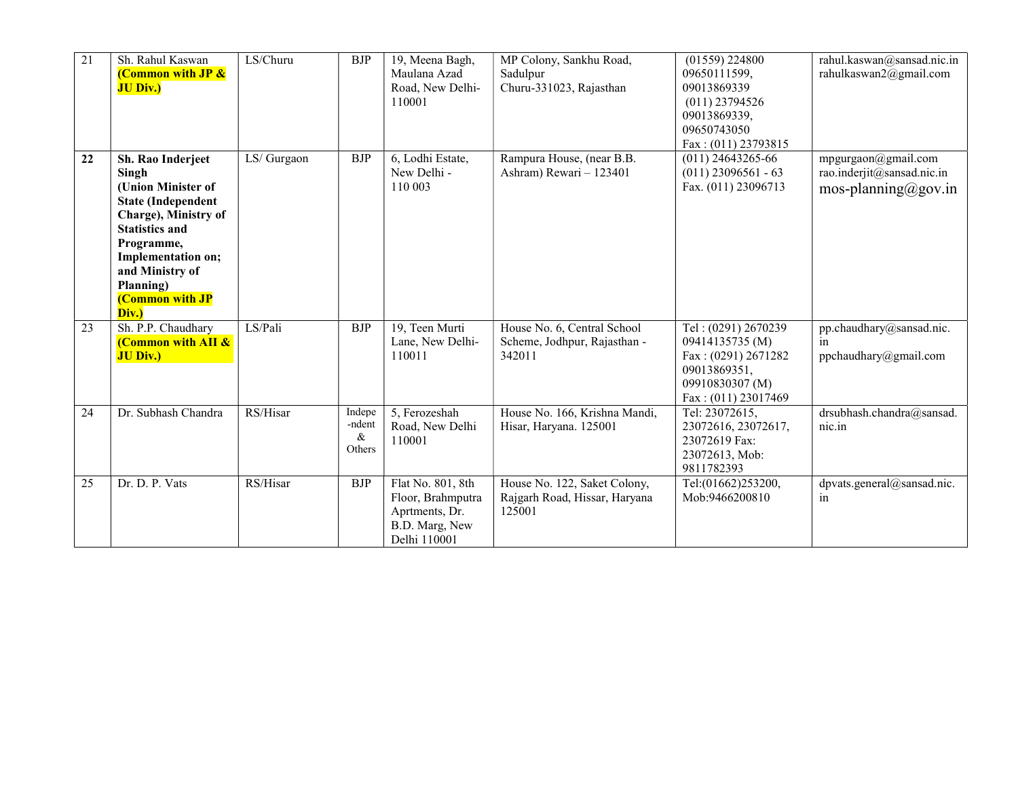| $\overline{21}$ | Sh. Rahul Kaswan<br><b>(Common with JP &amp;</b><br><b>JU Div.)</b>                                                                                                                                                                   | LS/Churu    | <b>BJP</b>                      | 19, Meena Bagh,<br>Maulana Azad<br>Road, New Delhi-<br>110001                              | MP Colony, Sankhu Road,<br>Sadulpur<br>Churu-331023, Rajasthan          | $(01559)$ 224800<br>09650111599,<br>09013869339<br>$(011)$ 23794526<br>09013869339,<br>09650743050<br>Fax: (011) 23793815 | rahul.kaswan@sansad.nic.in<br>rahulkaswan2@gmail.com                     |
|-----------------|---------------------------------------------------------------------------------------------------------------------------------------------------------------------------------------------------------------------------------------|-------------|---------------------------------|--------------------------------------------------------------------------------------------|-------------------------------------------------------------------------|---------------------------------------------------------------------------------------------------------------------------|--------------------------------------------------------------------------|
| 22              | Sh. Rao Inderjeet<br>Singh<br>(Union Minister of<br><b>State (Independent</b><br>Charge), Ministry of<br><b>Statistics and</b><br>Programme,<br>Implementation on;<br>and Ministry of<br>Planning)<br><b>(Common with JP</b><br>Div.) | LS/ Gurgaon | <b>BJP</b>                      | 6, Lodhi Estate,<br>New Delhi -<br>110 003                                                 | Rampura House, (near B.B.<br>Ashram) Rewari - 123401                    | $(011)$ 24643265-66<br>$(011)$ 23096561 - 63<br>Fax. (011) 23096713                                                       | mpgurgaon@gmail.com<br>rao.inderjit@sansad.nic.in<br>mos-planning@gov.in |
| 23              | Sh. P.P. Chaudhary<br><b>(Common with AII &amp;</b><br><b>JU Div.)</b>                                                                                                                                                                | LS/Pali     | <b>BJP</b>                      | $\overline{19}$ , Teen Murti<br>Lane, New Delhi-<br>110011                                 | House No. 6, Central School<br>Scheme, Jodhpur, Rajasthan -<br>342011   | Tel: (0291) 2670239<br>09414135735 (M)<br>Fax: (0291) 2671282<br>09013869351,<br>09910830307 (M)<br>Fax: $(011)$ 23017469 | pp.chaudhary@sansad.nic.<br>in<br>ppchaudhary@gmail.com                  |
| 24              | Dr. Subhash Chandra                                                                                                                                                                                                                   | RS/Hisar    | Indepe<br>-ndent<br>&<br>Others | 5, Ferozeshah<br>Road, New Delhi<br>110001                                                 | House No. 166, Krishna Mandi,<br>Hisar, Haryana. 125001                 | Tel: 23072615,<br>23072616, 23072617,<br>23072619 Fax:<br>23072613, Mob:<br>9811782393                                    | drsubhash.chandra@sansad.<br>nic.in                                      |
| 25              | Dr. D. P. Vats                                                                                                                                                                                                                        | RS/Hisar    | <b>BJP</b>                      | Flat No. 801, 8th<br>Floor, Brahmputra<br>Aprtments, Dr.<br>B.D. Marg, New<br>Delhi 110001 | House No. 122, Saket Colony,<br>Rajgarh Road, Hissar, Haryana<br>125001 | Tel:(01662)253200,<br>Mob:9466200810                                                                                      | dpvats.general@sansad.nic.<br>in                                         |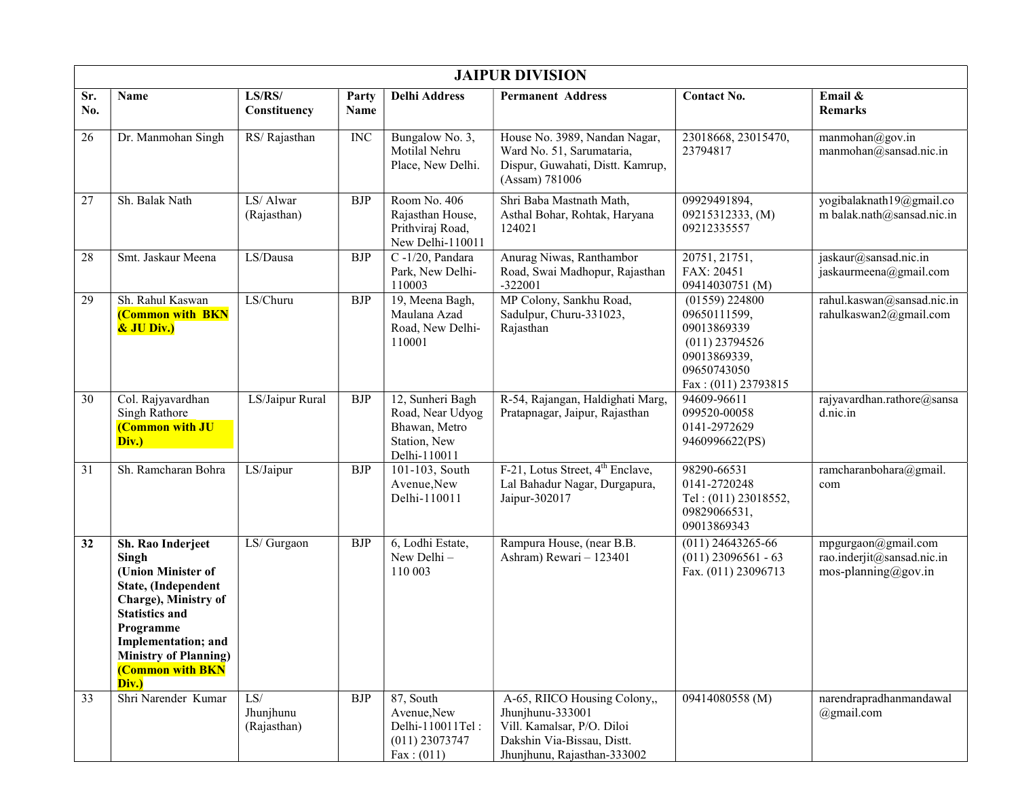|            | <b>JAIPUR DIVISION</b>                                                                                                                                                                                                    |                                 |               |                                                                                       |                                                                                                                                             |                                                                                                                           |                                                                          |  |  |  |  |
|------------|---------------------------------------------------------------------------------------------------------------------------------------------------------------------------------------------------------------------------|---------------------------------|---------------|---------------------------------------------------------------------------------------|---------------------------------------------------------------------------------------------------------------------------------------------|---------------------------------------------------------------------------------------------------------------------------|--------------------------------------------------------------------------|--|--|--|--|
| Sr.<br>No. | Name                                                                                                                                                                                                                      | LS/RS/<br>Constituency          | Party<br>Name | <b>Delhi Address</b>                                                                  | <b>Permanent Address</b>                                                                                                                    | <b>Contact No.</b>                                                                                                        | Email &<br><b>Remarks</b>                                                |  |  |  |  |
| 26         | Dr. Manmohan Singh                                                                                                                                                                                                        | RS/Rajasthan                    | <b>INC</b>    | Bungalow No. 3,<br>Motilal Nehru<br>Place, New Delhi.                                 | House No. 3989, Nandan Nagar,<br>Ward No. 51, Sarumataria,<br>Dispur, Guwahati, Distt. Kamrup,<br>(Assam) 781006                            | 23018668, 23015470,<br>23794817                                                                                           | manmohan@gov.in<br>manmohan@sansad.nic.in                                |  |  |  |  |
| 27         | Sh. Balak Nath                                                                                                                                                                                                            | LS/Alwar<br>(Rajasthan)         | <b>BJP</b>    | Room No. 406<br>Rajasthan House,<br>Prithviraj Road,<br>New Delhi-110011              | Shri Baba Mastnath Math,<br>Asthal Bohar, Rohtak, Haryana<br>124021                                                                         | 09929491894,<br>09215312333, (M)<br>09212335557                                                                           | yogibalaknath19@gmail.co<br>m balak.nath@sansad.nic.in                   |  |  |  |  |
| 28         | Smt. Jaskaur Meena                                                                                                                                                                                                        | LS/Dausa                        | <b>BJP</b>    | $C - 1/20$ , Pandara<br>Park, New Delhi-<br>110003                                    | Anurag Niwas, Ranthambor<br>Road, Swai Madhopur, Rajasthan<br>$-322001$                                                                     | 20751, 21751,<br>FAX: 20451<br>09414030751 (M)                                                                            | jaskaur@sansad.nic.in<br>jaskaurmeena@gmail.com                          |  |  |  |  |
| 29         | Sh. Rahul Kaswan<br>(Common with BKN<br>& JU Div.)                                                                                                                                                                        | LS/Churu                        | <b>BJP</b>    | 19, Meena Bagh,<br>Maulana Azad<br>Road, New Delhi-<br>110001                         | MP Colony, Sankhu Road,<br>Sadulpur, Churu-331023,<br>Rajasthan                                                                             | $(01559)$ 224800<br>09650111599,<br>09013869339<br>$(011)$ 23794526<br>09013869339,<br>09650743050<br>Fax: (011) 23793815 | rahul.kaswan@sansad.nic.in<br>rahulkaswan2@gmail.com                     |  |  |  |  |
| 30         | Col. Rajyavardhan<br>Singh Rathore<br>(Common with JU<br>Div.)                                                                                                                                                            | LS/Jaipur Rural                 | <b>BJP</b>    | 12, Sunheri Bagh<br>Road, Near Udyog<br>Bhawan, Metro<br>Station, New<br>Delhi-110011 | R-54, Rajangan, Haldighati Marg,<br>Pratapnagar, Jaipur, Rajasthan                                                                          | 94609-96611<br>099520-00058<br>0141-2972629<br>9460996622(PS)                                                             | rajyavardhan.rathore@sansa<br>d.nic.in                                   |  |  |  |  |
| 31         | Sh. Ramcharan Bohra                                                                                                                                                                                                       | LS/Jaipur                       | <b>BJP</b>    | 101-103, South<br>Avenue, New<br>Delhi-110011                                         | F-21, Lotus Street, 4 <sup>th</sup> Enclave,<br>Lal Bahadur Nagar, Durgapura,<br>Jaipur-302017                                              | 98290-66531<br>0141-2720248<br>Tel: (011) 23018552,<br>09829066531,<br>09013869343                                        | ramcharanbohara@gmail.<br>com                                            |  |  |  |  |
| 32         | Sh. Rao Inderjeet<br>Singh<br>(Union Minister of<br>State, (Independent<br>Charge), Ministry of<br><b>Statistics and</b><br>Programme<br>Implementation; and<br><b>Ministry of Planning)</b><br>(Common with BKN<br>Div.) | LS/ Gurgaon                     | <b>BJP</b>    | 6, Lodhi Estate,<br>New Delhi-<br>110 003                                             | Rampura House, (near B.B.<br>Ashram) Rewari - 123401                                                                                        | $(011)$ 24643265-66<br>$(011)$ 23096561 - 63<br>Fax. (011) 23096713                                                       | mpgurgaon@gmail.com<br>rao.inderjit@sansad.nic.in<br>mos-planning@gov.in |  |  |  |  |
| 33         | Shri Narender Kumar                                                                                                                                                                                                       | LS/<br>Jhunjhunu<br>(Rajasthan) | <b>BJP</b>    | 87, South<br>Avenue, New<br>Delhi-110011Tel:<br>$(011)$ 23073747<br>Fax: (011)        | A-65, RIICO Housing Colony,,<br>Jhunjhunu-333001<br>Vill. Kamalsar, P/O. Diloi<br>Dakshin Via-Bissau, Distt.<br>Jhunjhunu, Rajasthan-333002 | 09414080558 (M)                                                                                                           | narendrapradhanmandawal<br>@gmail.com                                    |  |  |  |  |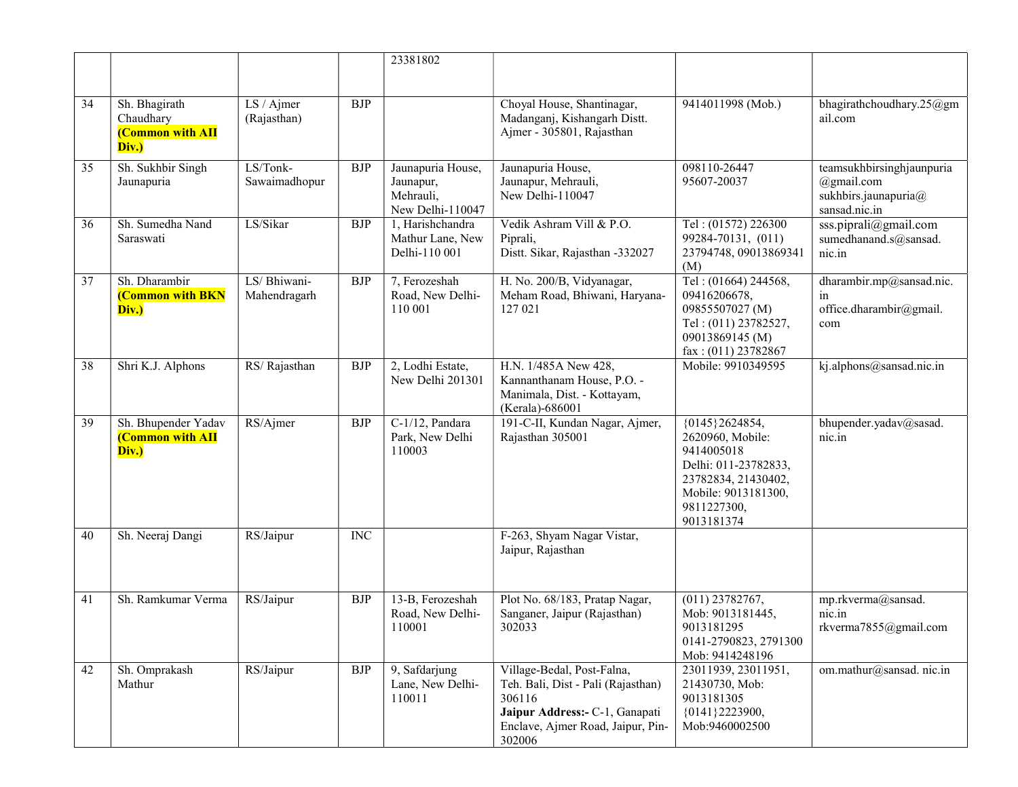|    |                                                                |                              |                         | 23381802                                                        |                                                                                                                                                             |                                                                                                                                                     |                                                                                     |
|----|----------------------------------------------------------------|------------------------------|-------------------------|-----------------------------------------------------------------|-------------------------------------------------------------------------------------------------------------------------------------------------------------|-----------------------------------------------------------------------------------------------------------------------------------------------------|-------------------------------------------------------------------------------------|
|    |                                                                |                              |                         |                                                                 |                                                                                                                                                             |                                                                                                                                                     |                                                                                     |
| 34 | Sh. Bhagirath<br>Chaudhary<br><b>(Common with AII</b><br>Div.) | LS / Ajmer<br>(Rajasthan)    | <b>BJP</b>              |                                                                 | Choyal House, Shantinagar,<br>Madanganj, Kishangarh Distt.<br>Ajmer - 305801, Rajasthan                                                                     | 9414011998 (Mob.)                                                                                                                                   | bhagirathchoudhary.25@gm<br>ail.com                                                 |
| 35 | Sh. Sukhbir Singh<br>Jaunapuria                                | LS/Tonk-<br>Sawaimadhopur    | <b>BJP</b>              | Jaunapuria House,<br>Jaunapur,<br>Mehrauli,<br>New Delhi-110047 | Jaunapuria House,<br>Jaunapur, Mehrauli,<br>New Delhi-110047                                                                                                | 098110-26447<br>95607-20037                                                                                                                         | teamsukhbirsinghjaunpuria<br>$@g$ mail.com<br>sukhbirs.jaunapuria@<br>sansad.nic.in |
| 36 | Sh. Sumedha Nand<br>Saraswati                                  | LS/Sikar                     | <b>BJP</b>              | 1, Harishchandra<br>Mathur Lane, New<br>Delhi-110 001           | Vedik Ashram Vill & P.O.<br>Piprali,<br>Distt. Sikar, Rajasthan -332027                                                                                     | Tel: (01572) 226300<br>99284-70131, (011)<br>23794748, 09013869341<br>(M)                                                                           | sss.piprali@gmail.com<br>sumedhanand.s@sansad.<br>nic.in                            |
| 37 | Sh. Dharambir<br><b>(Common with BKN</b><br>Div.)              | LS/ Bhiwani-<br>Mahendragarh | BJP                     | 7, Ferozeshah<br>Road, New Delhi-<br>110 001                    | H. No. 200/B, Vidyanagar,<br>Meham Road, Bhiwani, Haryana-<br>127 021                                                                                       | Tel: (01664) 244568,<br>09416206678,<br>09855507027 (M)<br>Tel: (011) 23782527,<br>09013869145 (M)<br>$\text{fax}: (011) 23782867$                  | dharambir.mp@sansad.nic.<br>in<br>office.dharambir@gmail.<br>com                    |
| 38 | Shri K.J. Alphons                                              | RS/Rajasthan                 | <b>BJP</b>              | 2, Lodhi Estate,<br>New Delhi 201301                            | H.N. 1/485A New 428,<br>Kannanthanam House, P.O. -<br>Manimala, Dist. - Kottayam,<br>(Kerala)-686001                                                        | Mobile: 9910349595                                                                                                                                  | kj.alphons@sansad.nic.in                                                            |
| 39 | Sh. Bhupender Yadav<br><b>(Common with AII</b><br>Div.)        | RS/Ajmer                     | <b>BJP</b>              | C-1/12, Pandara<br>Park, New Delhi<br>110003                    | 191-C-II, Kundan Nagar, Ajmer,<br>Rajasthan 305001                                                                                                          | {0145}2624854,<br>2620960, Mobile:<br>9414005018<br>Delhi: 011-23782833,<br>23782834, 21430402,<br>Mobile: 9013181300,<br>9811227300,<br>9013181374 | bhupender.yadav@sasad.<br>nic.in                                                    |
| 40 | Sh. Neeraj Dangi                                               | RS/Jaipur                    | $\overline{\text{INC}}$ |                                                                 | F-263, Shyam Nagar Vistar,<br>Jaipur, Rajasthan                                                                                                             |                                                                                                                                                     |                                                                                     |
| 41 | Sh. Ramkumar Verma                                             | RS/Jaipur                    | <b>BJP</b>              | 13-B, Ferozeshah<br>Road, New Delhi-<br>110001                  | Plot No. 68/183, Pratap Nagar,<br>Sanganer, Jaipur (Rajasthan)<br>302033                                                                                    | $(011)$ 23782767,<br>Mob: 9013181445,<br>9013181295<br>0141-2790823, 2791300<br>Mob: 9414248196                                                     | mp.rkverma@sansad.<br>nic.in<br>rkverma7855@gmail.com                               |
| 42 | Sh. Omprakash<br>Mathur                                        | RS/Jaipur                    | <b>BJP</b>              | 9, Safdarjung<br>Lane, New Delhi-<br>110011                     | Village-Bedal, Post-Falna,<br>Teh. Bali, Dist - Pali (Rajasthan)<br>306116<br>Jaipur Address:- C-1, Ganapati<br>Enclave, Ajmer Road, Jaipur, Pin-<br>302006 | 23011939, 23011951,<br>21430730, Mob:<br>9013181305<br>${0141}$ 2223900,<br>Mob:9460002500                                                          | om.mathur@sansad.nic.in                                                             |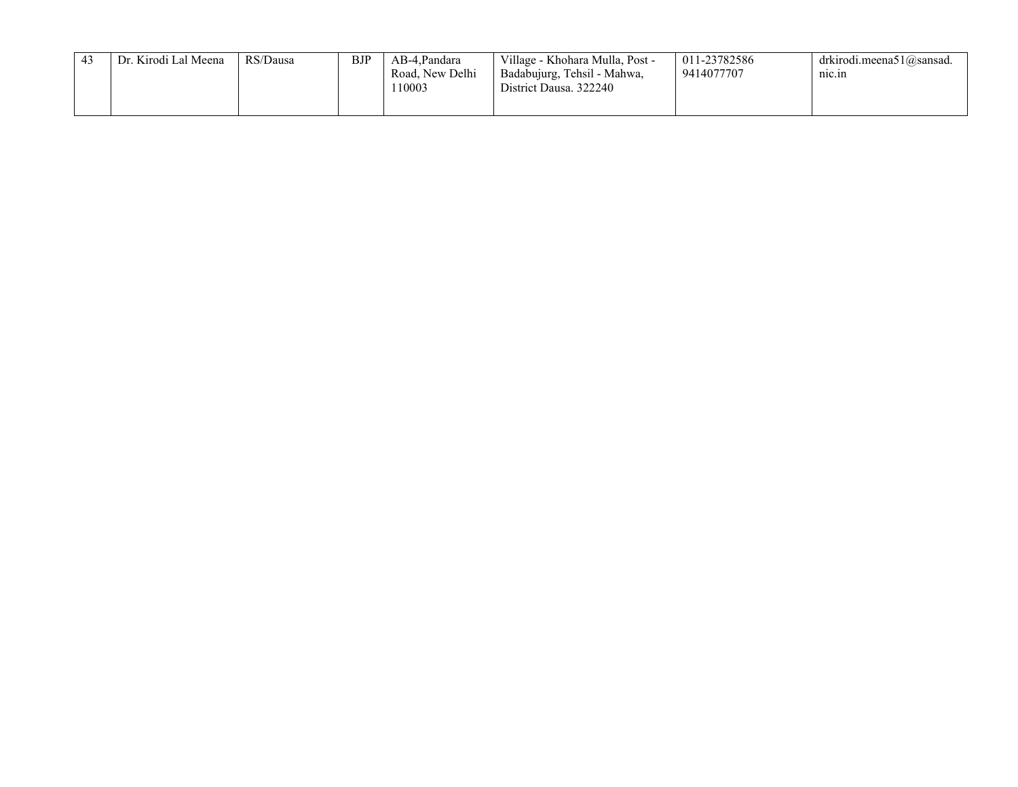| Dr. Kirodi Lal Meena | RS/Dausa | <b>BJP</b> | AB-4.Pandara    | Village - Khohara Mulla, Post - | 011-23782586 | drkirodi.meena51@sansad. |
|----------------------|----------|------------|-----------------|---------------------------------|--------------|--------------------------|
|                      |          |            | Road, New Delhi | Badabujurg, Tehsil - Mahwa,     | 9414077707   | $n_{1C.1n}$              |
|                      |          |            | '10003          | District Dausa. 322240          |              |                          |
|                      |          |            |                 |                                 |              |                          |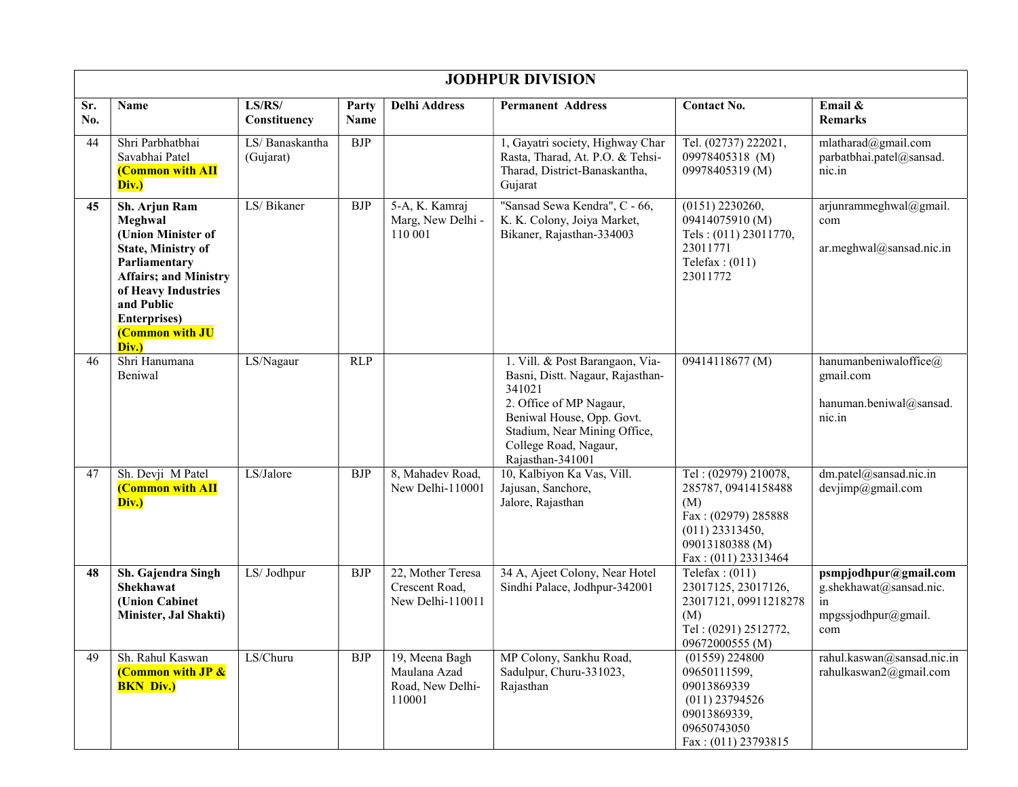|            | <b>JODHPUR DIVISION</b>                                                                                                                                                                                               |                             |               |                                                              |                                                                                                                                                                                                                    |                                                                                                                                            |                                                                                      |  |  |  |  |
|------------|-----------------------------------------------------------------------------------------------------------------------------------------------------------------------------------------------------------------------|-----------------------------|---------------|--------------------------------------------------------------|--------------------------------------------------------------------------------------------------------------------------------------------------------------------------------------------------------------------|--------------------------------------------------------------------------------------------------------------------------------------------|--------------------------------------------------------------------------------------|--|--|--|--|
| Sr.<br>No. | Name                                                                                                                                                                                                                  | LS/RS/<br>Constituency      | Party<br>Name | <b>Delhi Address</b>                                         | <b>Permanent Address</b>                                                                                                                                                                                           | <b>Contact No.</b>                                                                                                                         | Email &<br><b>Remarks</b>                                                            |  |  |  |  |
| 44         | Shri Parbhatbhai<br>Savabhai Patel<br><b>(Common with AII</b><br>Div.)                                                                                                                                                | LS/Banaskantha<br>(Gujarat) | <b>BJP</b>    |                                                              | 1, Gayatri society, Highway Char<br>Rasta, Tharad, At. P.O. & Tehsi-<br>Tharad, District-Banaskantha,<br>Gujarat                                                                                                   | Tel. (02737) 222021,<br>09978405318 (M)<br>09978405319 (M)                                                                                 | mlatharad@gmail.com<br>parbatbhai.patel@sansad.<br>nic.in                            |  |  |  |  |
| 45         | Sh. Arjun Ram<br>Meghwal<br>(Union Minister of<br><b>State, Ministry of</b><br>Parliamentary<br><b>Affairs; and Ministry</b><br>of Heavy Industries<br>and Public<br><b>Enterprises</b> )<br>(Common with JU<br>Div.) | LS/ Bikaner                 | <b>BJP</b>    | 5-A, K. Kamraj<br>Marg, New Delhi -<br>110 001               | "Sansad Sewa Kendra", C - 66,<br>K. K. Colony, Joiya Market,<br>Bikaner, Rajasthan-334003                                                                                                                          | $(0151)$ 2230260,<br>09414075910 (M)<br>Tels: (011) 23011770,<br>23011771<br>Telefax: $(011)$<br>23011772                                  | arjunrammeghwal@gmail.<br>com<br>ar.meghwal@sansad.nic.in                            |  |  |  |  |
| 46         | Shri Hanumana<br>Beniwal                                                                                                                                                                                              | LS/Nagaur                   | <b>RLP</b>    |                                                              | 1. Vill. & Post Barangaon, Via-<br>Basni, Distt. Nagaur, Rajasthan-<br>341021<br>2. Office of MP Nagaur,<br>Beniwal House, Opp. Govt.<br>Stadium, Near Mining Office,<br>College Road, Nagaur,<br>Rajasthan-341001 | 09414118677 (M)                                                                                                                            | hanumanbeniwaloffice@<br>gmail.com<br>hanuman.beniwal@sansad.<br>nic.in              |  |  |  |  |
| 47         | Sh. Devji M Patel<br><b>(Common with AII</b><br>Div.)                                                                                                                                                                 | LS/Jalore                   | <b>BJP</b>    | 8, Mahadev Road,<br>New Delhi-110001                         | 10, Kalbiyon Ka Vas, Vill.<br>Jajusan, Sanchore,<br>Jalore, Rajasthan                                                                                                                                              | Tel: (02979) 210078,<br>285787, 09414158488<br>(M)<br>Fax: (02979) 285888<br>$(011)$ 23313450,<br>09013180388 (M)<br>Fax: $(011)$ 23313464 | dm.patel@sansad.nic.in<br>devjimp@gmail.com                                          |  |  |  |  |
| 48         | Sh. Gajendra Singh<br>Shekhawat<br>(Union Cabinet<br>Minister, Jal Shakti)                                                                                                                                            | LS/ Jodhpur                 | <b>BJP</b>    | 22, Mother Teresa<br>Crescent Road,<br>New Delhi-110011      | 34 A, Ajeet Colony, Near Hotel<br>Sindhi Palace, Jodhpur-342001                                                                                                                                                    | Telefax: $(011)$<br>23017125, 23017126,<br>23017121, 09911218278<br>(M)<br>Tel: (0291) 2512772,<br>09672000555 (M)                         | psmpjodhpur@gmail.com<br>g.shekhawat@sansad.nic.<br>in<br>mpgssjodhpur@gmail.<br>com |  |  |  |  |
| 49         | Sh. Rahul Kaswan<br>(Common with JP &<br><b>BKN Div.)</b>                                                                                                                                                             | LS/Churu                    | <b>BJP</b>    | 19, Meena Bagh<br>Maulana Azad<br>Road, New Delhi-<br>110001 | MP Colony, Sankhu Road,<br>Sadulpur, Churu-331023,<br>Rajasthan                                                                                                                                                    | $(01559)$ 224800<br>09650111599,<br>09013869339<br>$(011)$ 23794526<br>09013869339,<br>09650743050<br>Fax: (011) 23793815                  | rahul.kaswan@sansad.nic.in<br>rahulkaswan2@gmail.com                                 |  |  |  |  |